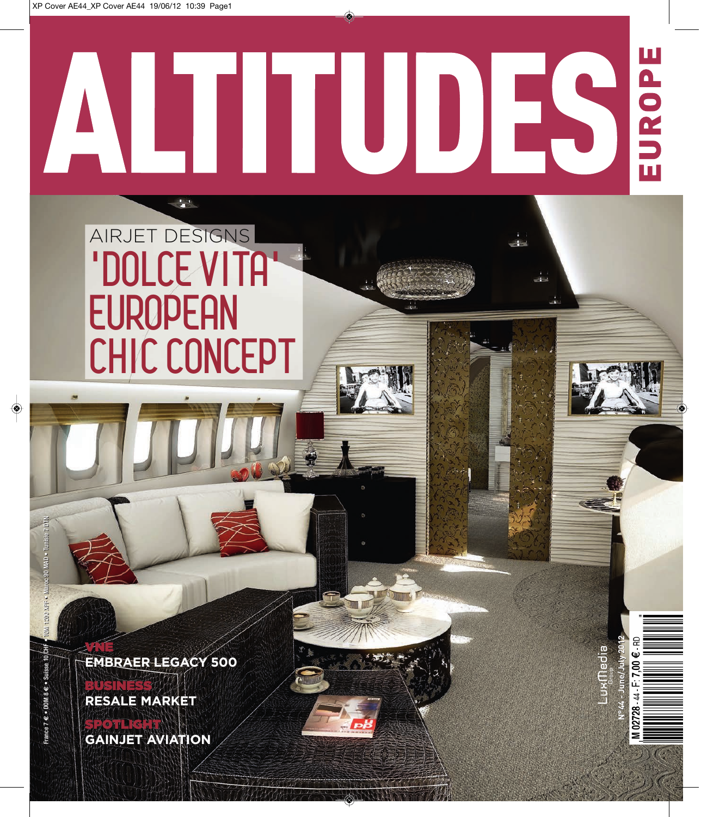## EUROPE ı ES Η ı

**N°44 - June/July 2012**

edia

**N°44 - June/July** 

## AIRJET DESIGNS **'DOLCE VITA' EUROPEAN CHIC CONCEPT**

**EMBRAER LEGACY 500 LEGACY** 

**RESALE MARKET** BUSINESS

VNE

**GAINJET AVIATION** SPOTLIGHT